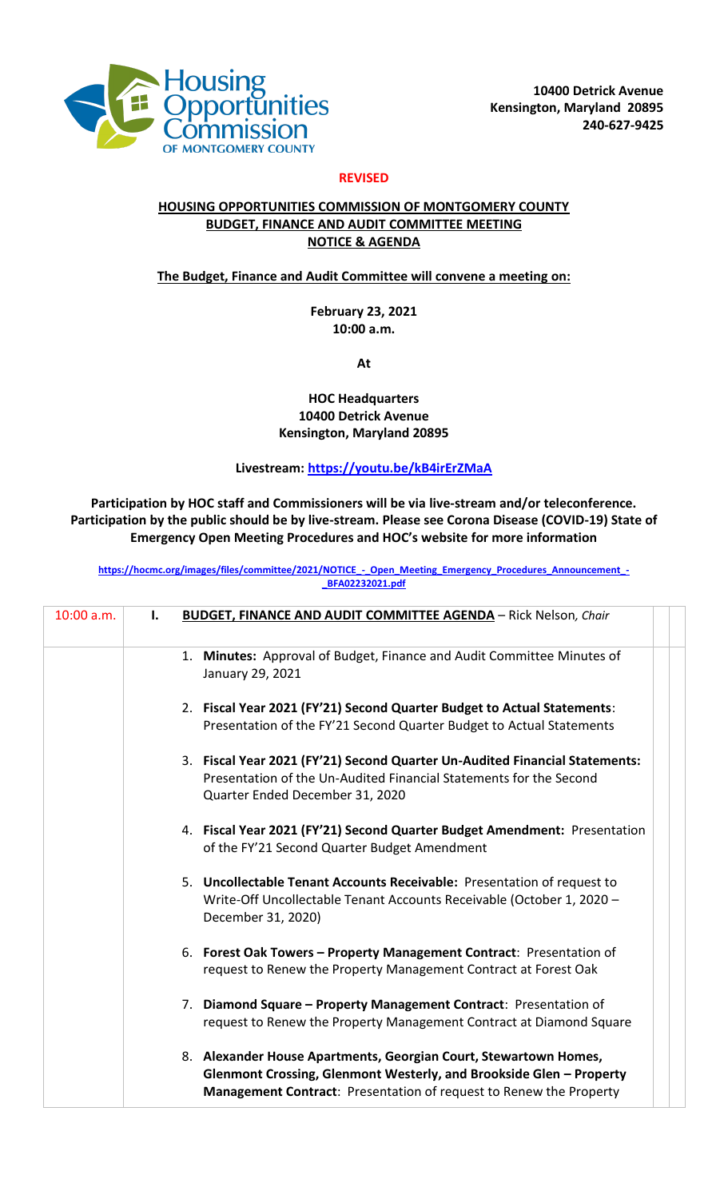

## **REVISED**

## **HOUSING OPPORTUNITIES COMMISSION OF MONTGOMERY COUNTY BUDGET, FINANCE AND AUDIT COMMITTEE MEETING NOTICE & AGENDA**

#### **The Budget, Finance and Audit Committee will convene a meeting on:**

**February 23, 2021 10:00 a.m.**

**At** 

### **HOC Headquarters 10400 Detrick Avenue Kensington, Maryland 20895**

## **Livestream:<https://youtu.be/kB4irErZMaA>**

# **Participation by HOC staff and Commissioners will be via live-stream and/or teleconference. Participation by the public should be by live-stream. Please see Corona Disease (COVID-19) State of Emergency Open Meeting Procedures and HOC's website for more information**

[https://hocmc.org/images/files/committee/2021/NOTICE\\_-\\_Open\\_Meeting\\_Emergency\\_Procedures\\_Announcement\\_-](https://hocmc.org/images/files/committee/2021/NOTICE_-_Open_Meeting_Emergency_Procedures_Announcement_-_BFA02232021.pdf) **[\\_BFA02232021.pdf](https://hocmc.org/images/files/committee/2021/NOTICE_-_Open_Meeting_Emergency_Procedures_Announcement_-_BFA02232021.pdf)**

| 10:00 a.m. | Ι. | <b>BUDGET, FINANCE AND AUDIT COMMITTEE AGENDA - Rick Nelson, Chair</b>                                                                                                                                        |
|------------|----|---------------------------------------------------------------------------------------------------------------------------------------------------------------------------------------------------------------|
|            |    | 1. Minutes: Approval of Budget, Finance and Audit Committee Minutes of<br>January 29, 2021                                                                                                                    |
|            |    | 2. Fiscal Year 2021 (FY'21) Second Quarter Budget to Actual Statements:<br>Presentation of the FY'21 Second Quarter Budget to Actual Statements                                                               |
|            |    | 3. Fiscal Year 2021 (FY'21) Second Quarter Un-Audited Financial Statements:<br>Presentation of the Un-Audited Financial Statements for the Second<br>Quarter Ended December 31, 2020                          |
|            |    | 4. Fiscal Year 2021 (FY'21) Second Quarter Budget Amendment: Presentation<br>of the FY'21 Second Quarter Budget Amendment                                                                                     |
|            |    | 5. Uncollectable Tenant Accounts Receivable: Presentation of request to<br>Write-Off Uncollectable Tenant Accounts Receivable (October 1, 2020 -<br>December 31, 2020)                                        |
|            |    | 6. Forest Oak Towers - Property Management Contract: Presentation of<br>request to Renew the Property Management Contract at Forest Oak                                                                       |
|            |    | 7. Diamond Square – Property Management Contract: Presentation of<br>request to Renew the Property Management Contract at Diamond Square                                                                      |
|            |    | 8. Alexander House Apartments, Georgian Court, Stewartown Homes,<br>Glenmont Crossing, Glenmont Westerly, and Brookside Glen - Property<br>Management Contract: Presentation of request to Renew the Property |